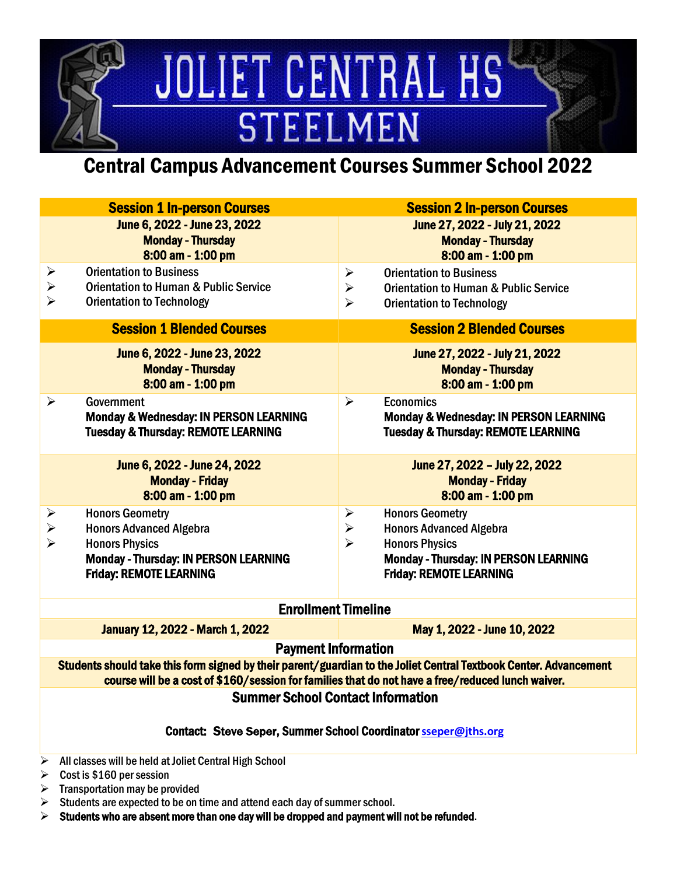# JOLIET CENTRAL HS **STEELMEN**

# Central Campus Advancement Courses Summer School 2022

| <b>Session 1 In-person Courses</b>                                                                                                                                                                                     | <b>Session 2 In-person Courses</b>                                                                                                                                                                                         |  |
|------------------------------------------------------------------------------------------------------------------------------------------------------------------------------------------------------------------------|----------------------------------------------------------------------------------------------------------------------------------------------------------------------------------------------------------------------------|--|
| June 6, 2022 - June 23, 2022<br><b>Monday - Thursday</b><br>8:00 am - 1:00 pm                                                                                                                                          | June 27, 2022 - July 21, 2022<br><b>Monday - Thursday</b><br>8:00 am - 1:00 pm                                                                                                                                             |  |
| <b>Orientation to Business</b><br>$\blacktriangleright$<br>$\blacktriangleright$<br><b>Orientation to Human &amp; Public Service</b><br>$\blacktriangleright$<br><b>Orientation to Technology</b>                      | <b>Orientation to Business</b><br>$\blacktriangleright$<br>$\blacktriangleright$<br><b>Orientation to Human &amp; Public Service</b><br>$\blacktriangleright$<br><b>Orientation to Technology</b>                          |  |
| <b>Session 1 Blended Courses</b>                                                                                                                                                                                       | <b>Session 2 Blended Courses</b>                                                                                                                                                                                           |  |
| June 6, 2022 - June 23, 2022<br><b>Monday - Thursday</b><br>8:00 am - 1:00 pm                                                                                                                                          | June 27, 2022 - July 21, 2022<br><b>Monday - Thursday</b><br>8:00 am - 1:00 pm                                                                                                                                             |  |
| $\blacktriangleright$<br><b>Government</b><br>Monday & Wednesday: IN PERSON LEARNING<br><b>Tuesday &amp; Thursday: REMOTE LEARNING</b>                                                                                 | <b>Economics</b><br>$\blacktriangleright$<br>Monday & Wednesday: IN PERSON LEARNING<br><b>Tuesday &amp; Thursday: REMOTE LEARNING</b>                                                                                      |  |
| June 6, 2022 - June 24, 2022<br><b>Monday - Friday</b><br>8:00 am - 1:00 pm                                                                                                                                            | June 27, 2022 - July 22, 2022<br><b>Monday - Friday</b><br>8:00 am - 1:00 pm                                                                                                                                               |  |
| <b>Honors Geometry</b><br>$\blacktriangleright$<br>$\blacktriangleright$<br><b>Honors Advanced Algebra</b><br><b>Honors Physics</b><br>Monday - Thursday: IN PERSON LEARNING<br><b>Friday: REMOTE LEARNING</b>         | <b>Honors Geometry</b><br>➤<br>$\blacktriangleright$<br><b>Honors Advanced Algebra</b><br>$\blacktriangleright$<br><b>Honors Physics</b><br><b>Monday - Thursday: IN PERSON LEARNING</b><br><b>Friday: REMOTE LEARNING</b> |  |
| <b>Enrollment Timeline</b>                                                                                                                                                                                             |                                                                                                                                                                                                                            |  |
| <b>January 12, 2022 - March 1, 2022</b>                                                                                                                                                                                | May 1, 2022 - June 10, 2022                                                                                                                                                                                                |  |
| <b>Payment Information</b>                                                                                                                                                                                             |                                                                                                                                                                                                                            |  |
| Students should take this form signed by their parent/guardian to the Joliet Central Textbook Center. Advancement<br>course will be a cost of \$160/session for families that do not have a free/reduced lunch waiver. |                                                                                                                                                                                                                            |  |
| <b>Summer School Contact Information</b><br>Contact: Steve Seper, Summer School Coordinator sseper@jths.org                                                                                                            |                                                                                                                                                                                                                            |  |
| All classes will be held at Joliet Central High School<br>➤<br>Cost is \$160 per session<br>➤                                                                                                                          |                                                                                                                                                                                                                            |  |

- Transportation may be provided
- Students are expected to be on time and attend each day of summer school.
- $\triangleright$  Students who are absent more than one day will be dropped and payment will not be refunded.